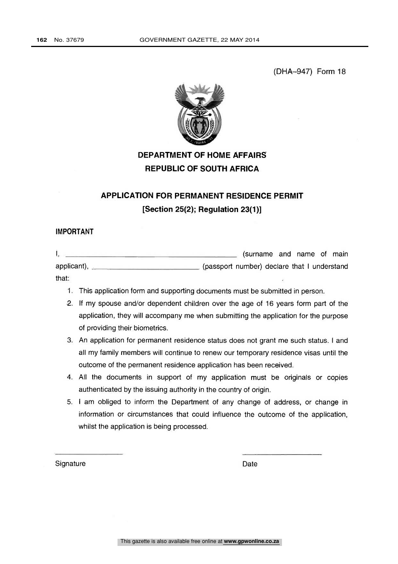(DHA-947) Form 18



# DEPARTMENT OF HOME AFFAIRS REPUBLIC OF SOUTH AFRICA

# APPLICATION FOR PERMANENT RESIDENCE PERMIT [Section 25(2); Regulation 23(1)]

## IMPORTANT

|                                      | (surname and name of main                   |
|--------------------------------------|---------------------------------------------|
| applicant), $\overline{\phantom{a}}$ | (passport number) declare that I understand |
| that:                                |                                             |

- 1. This application form and supporting documents must be submitted in person.
- 2. If my spouse and/or dependent children over the age of 16 years form part of the application, they will accompany me when submitting the application for the purpose of providing their biometrics.
- 3. An application for permanent residence status does not grant me such status. I and all my family members will continue to renew our temporary residence visas until the outcome of the permanent residence application has been received.
- 4. All the documents in support of my application must be originals or copies authenticated by the issuing authority in the country of origin.
- 5. I am obliged to inform the Department of any change of address, or change in information or circumstances that could influence the outcome of the application, whilst the application is being processed.

Signature Date Date Date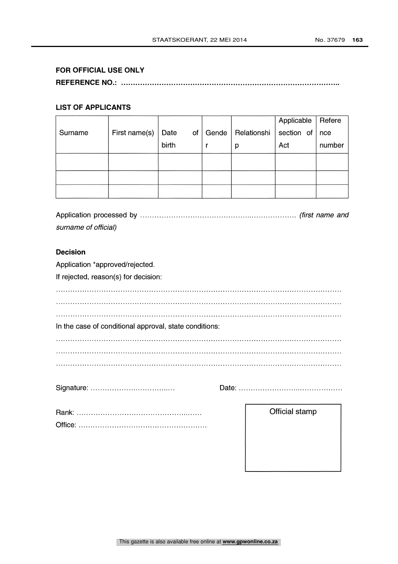## FOR OFFICIAL USE ONLY

REFERENCE NO.:

### LIST OF APPLICANTS

|         |               |       |                          |             | Applicable         | Refere |
|---------|---------------|-------|--------------------------|-------------|--------------------|--------|
| Surname | First name(s) | Date  | of $\vert$ Gende $\vert$ | Relationshi | section of $ $ nce |        |
|         |               | birth |                          | р           | Act                | number |
|         |               |       |                          |             |                    |        |
|         |               |       |                          |             |                    |        |
|         |               |       |                          |             |                    |        |
|         |               |       |                          |             |                    |        |

Application processed by (first name and surname of official)

#### Decision

Application \*approved/rejected.

If rejected, reason(s) for decision:

In the case of conditional approval, state conditions: 

Signature:

Date:

Official stamp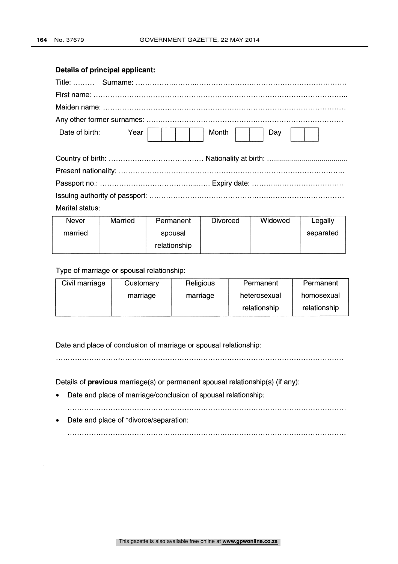## Details of principal applicant:

| Date of birth:<br>Year | Month<br>Day |
|------------------------|--------------|
|                        |              |
|                        |              |
|                        |              |
|                        |              |
| Marital status:        |              |

| Never   | Married | Permanent    | <b>Divorced</b> | Widowed | Legally   |
|---------|---------|--------------|-----------------|---------|-----------|
| married |         | spousal      |                 |         | separated |
|         |         | relationship |                 |         |           |

## Type of marriage or spousal relationship:

| Civil marriage | Customary | Religious | Permanent    | Permanent    |  |
|----------------|-----------|-----------|--------------|--------------|--|
|                | marriage  | marriage  | heterosexual | homosexual   |  |
|                |           |           | relationship | relationship |  |

Date and place of conclusion of marriage or spousal relationship:

Details of previous marriage(s) or permanent spousal relationship(s) (if any):

Date and place of marriage/conclusion of spousal relationship:  $\bullet$ 

Date and place of \*divorce/separation:  $\bullet$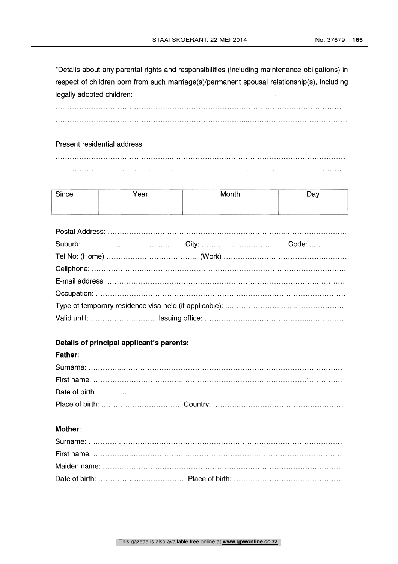\*Details about any parental rights and responsibilities (including maintenance obligations) in respect of children born from such marriage(s)/permanent spousal relationship(s), including legally adopted children:

## Present residential address:

| Since | Year | Month | Day |
|-------|------|-------|-----|
|       |      |       |     |

## Details of principal applicant's parents:

#### Father:

## Mother: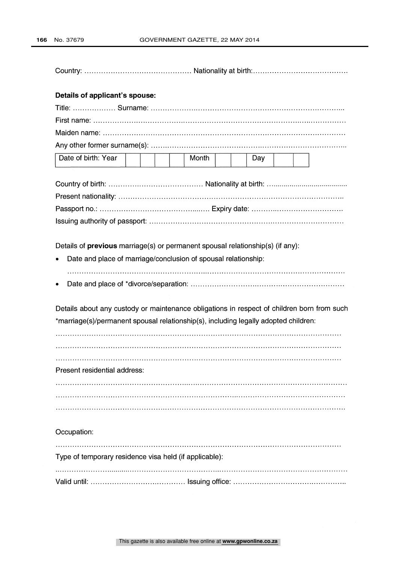Country. Nationality at birth.

#### Details of applicant's spouse:

| Date of birth: Year           Month       Day |  |  |  |  |  |  |
|-----------------------------------------------|--|--|--|--|--|--|

Details of **previous** marriage(s) or permanent spousal relationship(s) (if any):

- Date and place of marriage/conclusion of spousal relationship:
- Date and place of \*divorce/separation:

Details about any custody or maintenance obligations in respect of children born from such \*marriage(s)/permanent spousal relationship(s), including legally adopted children:

Present residential address:

Occupation:

Type of temporary residence visa held (if applicable): Valid until: Issuing office: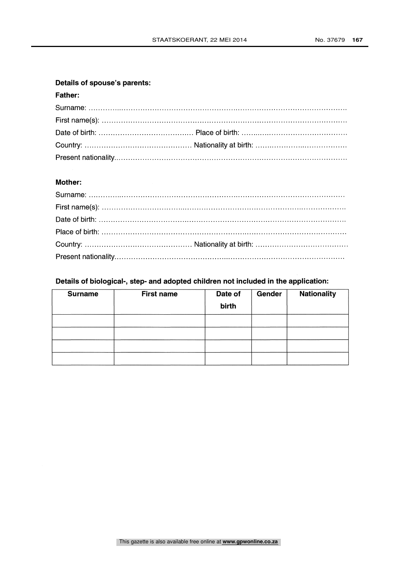# Details of spouse's parents:

## Father:

## Mother:

# Details of biological-, step- and adopted children not included in the application:

| <b>Surname</b> | <b>First name</b> | Date of<br>birth | Gender | <b>Nationality</b> |
|----------------|-------------------|------------------|--------|--------------------|
|                |                   |                  |        |                    |
|                |                   |                  |        |                    |
|                |                   |                  |        |                    |
|                |                   |                  |        |                    |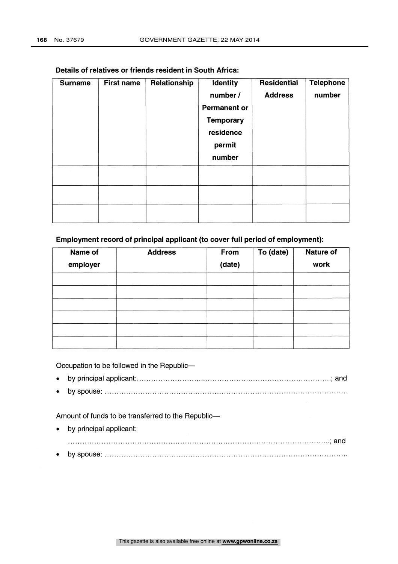| <b>Surname</b> | <b>First name</b> | Relationship | Identity<br>number /<br><b>Permanent or</b><br><b>Temporary</b><br>residence<br>permit<br>number | <b>Residential</b><br><b>Address</b> | <b>Telephone</b><br>number |  |
|----------------|-------------------|--------------|--------------------------------------------------------------------------------------------------|--------------------------------------|----------------------------|--|
|                |                   |              |                                                                                                  |                                      |                            |  |
|                |                   |              |                                                                                                  |                                      |                            |  |
|                |                   |              |                                                                                                  |                                      |                            |  |

#### Details of relatives or friends resident in South Africa:

## Employment record of principal applicant (to cover full period of employment):

| Name of<br>employer | <b>Address</b> | From<br>(date) | To (date) | <b>Nature of</b><br>work |
|---------------------|----------------|----------------|-----------|--------------------------|
|                     |                |                |           |                          |
|                     |                |                |           |                          |
|                     |                |                |           |                          |
|                     |                |                |           |                          |
|                     |                |                |           |                          |
|                     |                |                |           |                          |

Occupation to be followed in the Republic-

- by principal applicant ; and
- by spouse:

Amount of funds to be transferred to the Republic-

by principal applicant: ; and by spouse: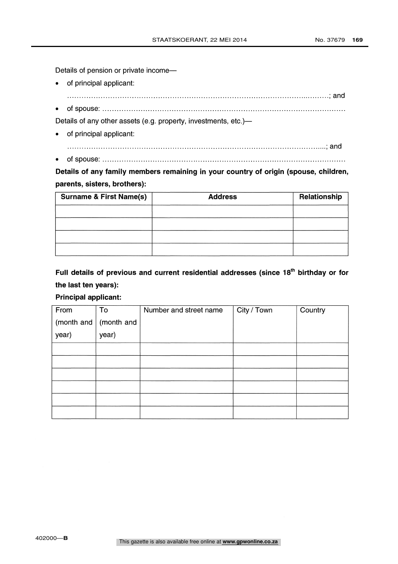Details of pension or private income-

- of principal applicant:
- ; and
- of spouse:

Details of any other assets (e.g. property, investments, etc.)-

- of principal applicant:  $\bullet$
- ; and
- of spouse:  $\bullet$

Details of any family members remaining in your country of origin (spouse, children, parents, sisters, brothers):

| <b>Surname &amp; First Name(s)</b> | <b>Address</b> | Relationship |
|------------------------------------|----------------|--------------|
|                                    |                |              |
|                                    |                |              |
|                                    |                |              |
|                                    |                |              |
|                                    |                |              |

Full details of previous and current residential addresses (since 18<sup>th</sup> birthday or for the last ten years):

## Principal applicant:

| From  | To                        | Number and street name | City / Town | Country |
|-------|---------------------------|------------------------|-------------|---------|
|       | (month and $ $ (month and |                        |             |         |
| year) | year)                     |                        |             |         |
|       |                           |                        |             |         |
|       |                           |                        |             |         |
|       |                           |                        |             |         |
|       |                           |                        |             |         |
|       |                           |                        |             |         |
|       |                           |                        |             |         |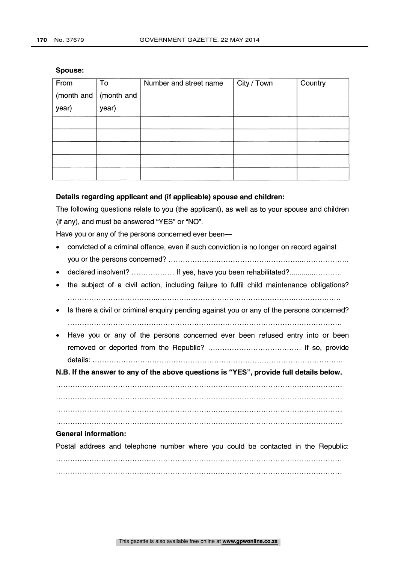| From  | To                        | Number and street name | City / Town | Country |
|-------|---------------------------|------------------------|-------------|---------|
|       | (month and $ $ (month and |                        |             |         |
| year) | year)                     |                        |             |         |
|       |                           |                        |             |         |
|       |                           |                        |             |         |
|       |                           |                        |             |         |
|       |                           |                        |             |         |
|       |                           |                        |             |         |

#### Spouse:

## Details regarding applicant and (if applicable) spouse and children:

The following questions relate to you (the applicant), as well as to your spouse and children (if any), and must be answered "YES" or "NO".

Have you or any of the persons concerned ever been-

- convicted of a criminal offence, even if such conviction is no longer on record against you or the persons concerned?
- declared insolvent? .................. If yes, have you been rehabilitated?........................
- the subject of a civil action, including failure to fulfil child maintenance obligations?
- Is there a civil or criminal enquiry pending against you or any of the persons concerned?
- Have you or any of the persons concerned ever been refused entry into or been removed or deported from the Republic? If so, provide details:

N.B. If the answer to any of the above questions is "YES", provide full details below

#### $\mathcal{L} = \{x_1, x_2, \ldots, x_n\}$  . The contract of the contract of the contract of the contract of the contract of the contract of the contract of the contract of the contract of the contract of the contract of the contract of

#### General information:

Postal address and telephone number where you could be contacted in the Republic: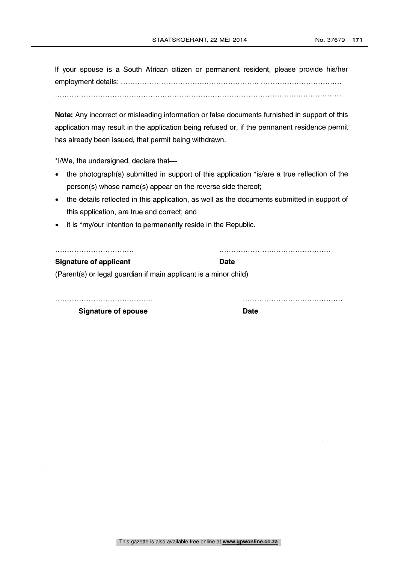If your spouse is a South African citizen or permanent resident, please provide his/her employment details:

Note: Any incorrect or misleading information or false documents furnished in support of this application may result in the application being refused or, if the permanent residence permit has already been issued, that permit being withdrawn.

 $*$ I/We, the undersigned, declare that-

- the photograph(s) submitted in support of this application \*is/are a true reflection of the person(s) whose name(s) appear on the reverse side thereof;
- the details reflected in this application, as well as the documents submitted in support of  $\bullet$ this application, are true and correct; and
- it is \*my/our intention to permanently reside in the Republic.

#### Signature of applicant Date Date

(Parent(s) or legal guardian if main applicant is a minor child)

Signature of spouse Date Date

This gazette is also available free online at **www.gpwonline.co.za**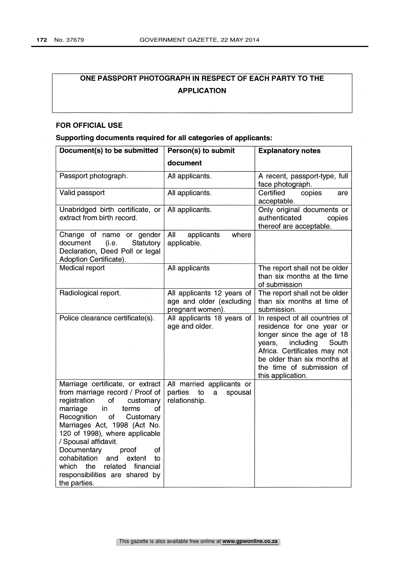# ONE PASSPORT PHOTOGRAPH IN RESPECT OF EACH PARTY TO THE APPLICATION

## FOR OFFICIAL USE

## Supporting documents required for all categories of applicants:

| Document(s) to be submitted                                                                                                                                                                                                                                                                                                                                                                                                        | Person(s) to submit                                                         | <b>Explanatory notes</b>                                                                                                                                                                                                                   |
|------------------------------------------------------------------------------------------------------------------------------------------------------------------------------------------------------------------------------------------------------------------------------------------------------------------------------------------------------------------------------------------------------------------------------------|-----------------------------------------------------------------------------|--------------------------------------------------------------------------------------------------------------------------------------------------------------------------------------------------------------------------------------------|
|                                                                                                                                                                                                                                                                                                                                                                                                                                    | document                                                                    |                                                                                                                                                                                                                                            |
| Passport photograph.                                                                                                                                                                                                                                                                                                                                                                                                               | All applicants.                                                             | A recent, passport-type, full<br>face photograph.                                                                                                                                                                                          |
| Valid passport                                                                                                                                                                                                                                                                                                                                                                                                                     | All applicants.                                                             | Certified<br>copies<br>are<br>acceptable.                                                                                                                                                                                                  |
| Unabridged birth certificate, or<br>extract from birth record.                                                                                                                                                                                                                                                                                                                                                                     | All applicants.                                                             | Only original documents or<br>authenticated<br>copies<br>thereof are acceptable.                                                                                                                                                           |
| Change of name or gender<br>document<br>Statutory<br>(i.e.<br>Declaration, Deed Poll or legal<br>Adoption Certificate).                                                                                                                                                                                                                                                                                                            | All<br>applicants<br>where<br>applicable.                                   |                                                                                                                                                                                                                                            |
| Medical report                                                                                                                                                                                                                                                                                                                                                                                                                     | All applicants                                                              | The report shall not be older<br>than six months at the time<br>of submission                                                                                                                                                              |
| Radiological report.                                                                                                                                                                                                                                                                                                                                                                                                               | All applicants 12 years of<br>age and older (excluding<br>pregnant women).  | The report shall not be older<br>than six months at time of<br>submission.                                                                                                                                                                 |
| Police clearance certificate(s).                                                                                                                                                                                                                                                                                                                                                                                                   | All applicants 18 years of<br>age and older.                                | In respect of all countries of<br>residence for one year or<br>longer since the age of 18<br>including<br>South<br>years,<br>Africa. Certificates may not<br>be older than six months at<br>the time of submission of<br>this application. |
| Marriage certificate, or extract<br>from marriage record / Proof of<br>registration<br>of<br>customary<br>marriage<br>in<br>terms<br>οf<br>Recognition<br>of<br>Customary<br>Marriages Act, 1998 (Act No.<br>120 of 1998), where applicable<br>/ Spousal affidavit.<br>Documentary<br>of<br>proof<br>cohabitation<br>and<br>extent<br>to<br>financial<br>which<br>the<br>related<br>responsibilities are shared by<br>the parties. | All married applicants or<br>parties<br>to<br>spousal<br>a<br>relationship. |                                                                                                                                                                                                                                            |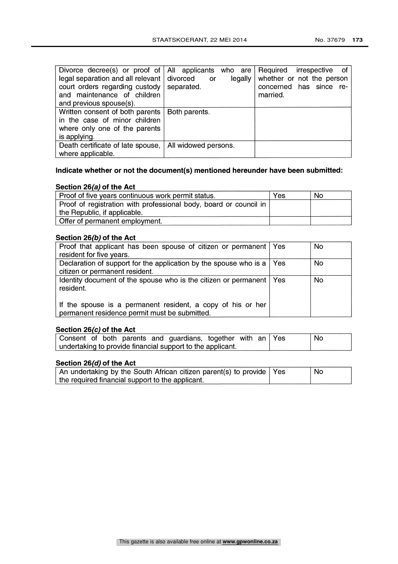| Divorce decree(s) or proof of $\vert$ All applicants who are $\vert$ Required<br>legal separation and all relevant   divorced<br>court orders regarding custody | legally<br>or<br>separated. | irrespective<br>of.<br>whether or not the person<br>concerned has since re- |
|-----------------------------------------------------------------------------------------------------------------------------------------------------------------|-----------------------------|-----------------------------------------------------------------------------|
| and maintenance of children                                                                                                                                     |                             | married.                                                                    |
| and previous spouse(s).                                                                                                                                         |                             |                                                                             |
| Written consent of both parents   Both parents.                                                                                                                 |                             |                                                                             |
| in the case of minor children                                                                                                                                   |                             |                                                                             |
| where only one of the parents                                                                                                                                   |                             |                                                                             |
| is applying.                                                                                                                                                    |                             |                                                                             |
| Death certificate of late spouse,                                                                                                                               | All widowed persons.        |                                                                             |
| where applicable.                                                                                                                                               |                             |                                                                             |

# Indicate whether or not the document(s) mentioned hereunder have been submitted:

## Section 26(a) of the Act

| Proof of five years continuous work permit status.                | Yes | No. |
|-------------------------------------------------------------------|-----|-----|
| Proof of registration with professional body, board or council in |     |     |
| the Republic, if applicable.                                      |     |     |
| Offer of permanent employment.                                    |     |     |

#### Section 26(b) of the Act

| Proof that applicant has been spouse of citizen or permanent   Yes                                           | <b>No</b> |
|--------------------------------------------------------------------------------------------------------------|-----------|
| resident for five years.                                                                                     |           |
| Declaration of support for the application by the spouse who is a $\vert$ Yes                                | <b>No</b> |
| citizen or permanent resident.                                                                               |           |
| Identity document of the spouse who is the citizen or permanent   Yes<br>resident.                           | No        |
| If the spouse is a permanent resident, a copy of his or her<br>permanent residence permit must be submitted. |           |

## Section 26(c) of the Act

|  |  | Consent of both parents and guardians, together with an Yes |  |  | ' No |
|--|--|-------------------------------------------------------------|--|--|------|
|  |  | undertaking to provide financial support to the applicant.  |  |  |      |

## Section 26(d) of the Act

| An undertaking by the South African citizen parent(s) to provide   Yes | No |
|------------------------------------------------------------------------|----|
| the required financial support to the applicant.                       |    |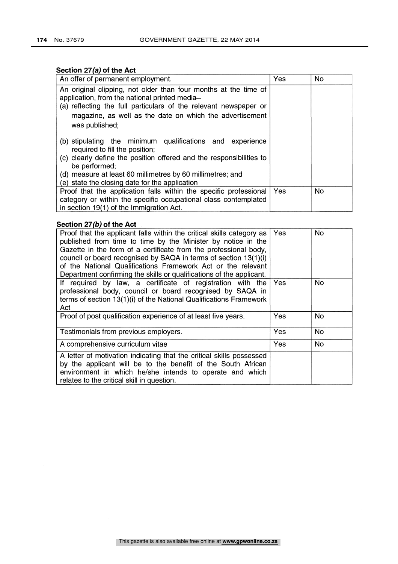## Section 27(a) of the Act

| An offer of permanent employment.                                                                                                                                                                                                                                                                   | Yes | <b>No</b> |
|-----------------------------------------------------------------------------------------------------------------------------------------------------------------------------------------------------------------------------------------------------------------------------------------------------|-----|-----------|
| An original clipping, not older than four months at the time of<br>application, from the national printed media-<br>(a) reflecting the full particulars of the relevant newspaper or<br>magazine, as well as the date on which the advertisement<br>was published;                                  |     |           |
| (b) stipulating the minimum qualifications and experience<br>required to fill the position;<br>(c) clearly define the position offered and the responsibilities to<br>be performed;<br>(d) measure at least 60 millimetres by 60 millimetres; and<br>(e) state the closing date for the application |     |           |
| Proof that the application falls within the specific professional<br>category or within the specific occupational class contemplated<br>in section 19(1) of the Immigration Act.                                                                                                                    | Yes | <b>No</b> |

## Section 27(b) of the Act

| Proof that the applicant falls within the critical skills category as<br>published from time to time by the Minister by notice in the<br>Gazette in the form of a certificate from the professional body,<br>council or board recognised by SAQA in terms of section 13(1)(i)<br>of the National Qualifications Framework Act or the relevant<br>Department confirming the skills or qualifications of the applicant. | Yes | No. |
|-----------------------------------------------------------------------------------------------------------------------------------------------------------------------------------------------------------------------------------------------------------------------------------------------------------------------------------------------------------------------------------------------------------------------|-----|-----|
| If required by law, a certificate of registration with the<br>professional body, council or board recognised by SAQA in<br>terms of section 13(1)(i) of the National Qualifications Framework<br>Act                                                                                                                                                                                                                  | Yes | No. |
| Proof of post qualification experience of at least five years.                                                                                                                                                                                                                                                                                                                                                        | Yes | No. |
| Testimonials from previous employers.                                                                                                                                                                                                                                                                                                                                                                                 | Yes | No. |
| A comprehensive curriculum vitae                                                                                                                                                                                                                                                                                                                                                                                      | Yes | No. |
| A letter of motivation indicating that the critical skills possessed<br>by the applicant will be to the benefit of the South African<br>environment in which he/she intends to operate and which<br>relates to the critical skill in question.                                                                                                                                                                        |     |     |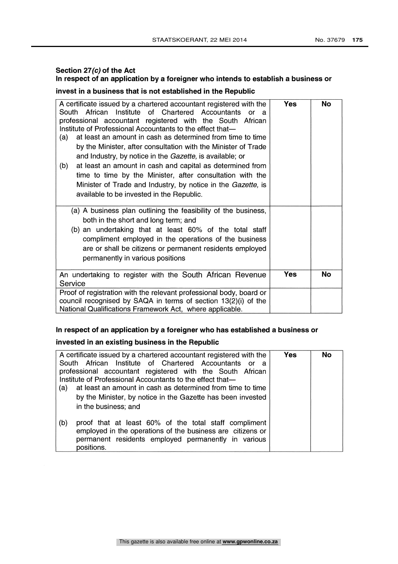## Section 27(c) of the Act In respect of an application by a foreigner who intends to establish a business or

## invest in a business that is not established in the Republic

| A certificate issued by a chartered accountant registered with the<br>South African Institute of Chartered Accountants<br>or a<br>professional accountant registered with the South African<br>Institute of Professional Accountants to the effect that-<br>at least an amount in cash as determined from time to time<br>(a)<br>by the Minister, after consultation with the Minister of Trade<br>and Industry, by notice in the Gazette, is available; or<br>at least an amount in cash and capital as determined from<br>(b)<br>time to time by the Minister, after consultation with the<br>Minister of Trade and Industry, by notice in the Gazette, is<br>available to be invested in the Republic. | <b>Yes</b> | No |  |
|-----------------------------------------------------------------------------------------------------------------------------------------------------------------------------------------------------------------------------------------------------------------------------------------------------------------------------------------------------------------------------------------------------------------------------------------------------------------------------------------------------------------------------------------------------------------------------------------------------------------------------------------------------------------------------------------------------------|------------|----|--|
| (a) A business plan outlining the feasibility of the business,<br>both in the short and long term; and<br>(b) an undertaking that at least 60% of the total staff<br>compliment employed in the operations of the business<br>are or shall be citizens or permanent residents employed<br>permanently in various positions                                                                                                                                                                                                                                                                                                                                                                                |            |    |  |
| An undertaking to register with the South African Revenue<br>Service                                                                                                                                                                                                                                                                                                                                                                                                                                                                                                                                                                                                                                      | Yes        | No |  |
| Proof of registration with the relevant professional body, board or<br>council recognised by SAQA in terms of section 13(2)(i) of the<br>National Qualifications Framework Act, where applicable.                                                                                                                                                                                                                                                                                                                                                                                                                                                                                                         |            |    |  |

## In respect of an application by a foreigner who has established a business or

# invested in an existing business in the Republic

| A certificate issued by a chartered accountant registered with the<br>South African Institute of Chartered Accountants or a<br>professional accountant registered with the South African<br>Institute of Professional Accountants to the effect that- | <b>Yes</b> | <b>No</b> |
|-------------------------------------------------------------------------------------------------------------------------------------------------------------------------------------------------------------------------------------------------------|------------|-----------|
| at least an amount in cash as determined from time to time<br>(a)<br>by the Minister, by notice in the Gazette has been invested<br>in the business; and                                                                                              |            |           |
| proof that at least 60% of the total staff compliment<br>(b)<br>employed in the operations of the business are citizens or<br>permanent residents employed permanently in various<br>positions.                                                       |            |           |